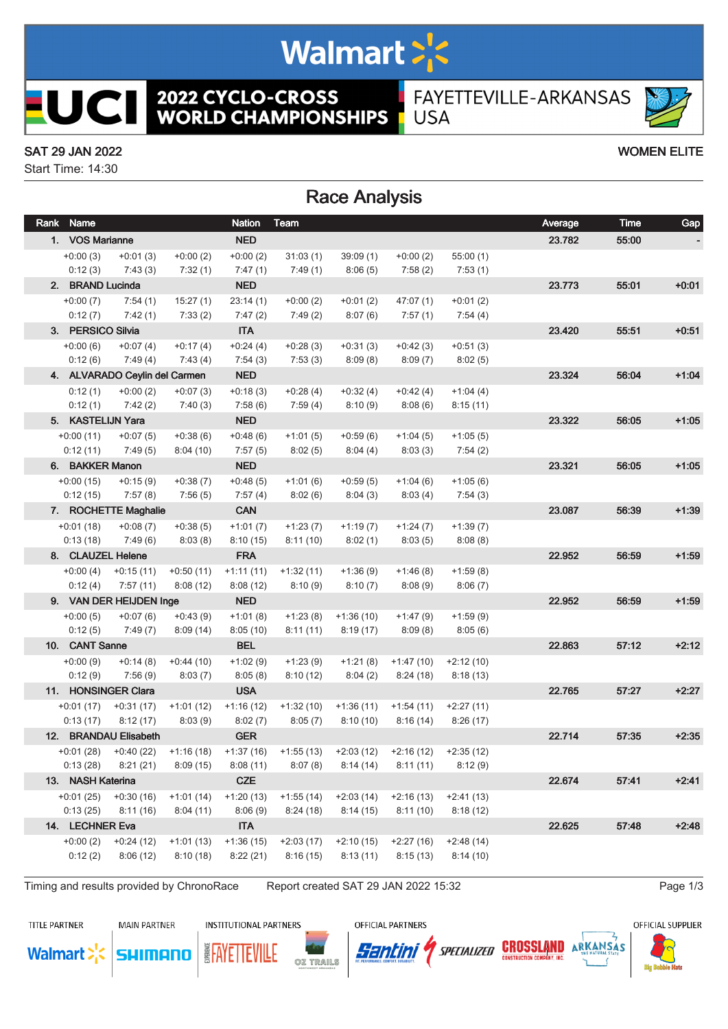# Walmart >'s

**2022 CYCLO-CROSS<br>WORLD CHAMPIONSHIPS** 

FAYETTEVILLE-ARKANSAS **USA** 

### SAT 29 JAN 2022 WOMEN ELITE

ICI

 $\overline{\phantom{a}}$ 

Start Time: 14:30

## Race Analysis

| Rank Name         |                               |             | <b>Nation</b> | Team                                                                                          |                                     |             |             | Average | Time  | Gap     |
|-------------------|-------------------------------|-------------|---------------|-----------------------------------------------------------------------------------------------|-------------------------------------|-------------|-------------|---------|-------|---------|
| 1. VOS Marianne   |                               |             | <b>NED</b>    |                                                                                               |                                     |             |             | 23.782  | 55:00 |         |
| $+0:00(3)$        | $+0:01(3)$                    | $+0:00(2)$  | $+0:00(2)$    | 31:03(1)                                                                                      | 39:09(1)                            | $+0:00(2)$  | 55:00(1)    |         |       |         |
| 0:12(3)           | 7:43(3)                       | 7:32(1)     | 7:47(1)       | 7:49 (1)                                                                                      | 8:06(5)                             | 7:58(2)     | 7:53(1)     |         |       |         |
| 2. BRAND Lucinda  |                               |             | <b>NED</b>    |                                                                                               |                                     |             |             | 23.773  | 55:01 | $+0:01$ |
| $+0:00(7)$        | 7:54(1)                       | 15:27(1)    | 23:14(1)      | $+0:00(2)$                                                                                    | $+0:01(2)$                          | 47:07 (1)   | $+0:01(2)$  |         |       |         |
| 0:12(7)           | 7:42(1)                       | 7:33(2)     | 7:47(2)       | 7:49(2)                                                                                       | 8:07(6)                             | 7:57(1)     | 7:54(4)     |         |       |         |
| 3. PERSICO Silvia |                               |             | <b>ITA</b>    |                                                                                               |                                     |             |             | 23.420  | 55:51 | $+0:51$ |
| $+0:00(6)$        | $+0:07(4)$                    | $+0:17(4)$  | $+0:24(4)$    | $+0.28(3)$                                                                                    | $+0:31(3)$                          | $+0:42(3)$  | $+0:51(3)$  |         |       |         |
| 0:12(6)           | 7:49(4)                       | 7:43(4)     | 7:54(3)       | 7:53(3)                                                                                       | 8:09(8)                             | 8:09(7)     | 8:02(5)     |         |       |         |
|                   | 4. ALVARADO Ceylin del Carmen |             | <b>NED</b>    |                                                                                               |                                     |             |             | 23.324  | 56:04 | $+1:04$ |
| 0:12(1)           | $+0:00(2)$                    | $+0:07(3)$  | $+0:18(3)$    | $+0.28(4)$                                                                                    | $+0:32(4)$                          | $+0:42(4)$  | $+1:04(4)$  |         |       |         |
| 0:12(1)           | 7:42(2)                       | 7:40(3)     | 7:58(6)       | 7:59(4)                                                                                       | 8:10(9)                             | 8:08(6)     | 8:15(11)    |         |       |         |
| 5. KASTELIJN Yara |                               |             | <b>NED</b>    |                                                                                               |                                     |             |             | 23.322  | 56:05 | $+1:05$ |
| $+0:00(11)$       | $+0:07(5)$                    | $+0.38(6)$  | $+0.48(6)$    | $+1:01(5)$                                                                                    | $+0.59(6)$                          | $+1:04(5)$  | $+1:05(5)$  |         |       |         |
| 0:12(11)          | 7:49(5)                       | 8:04(10)    | 7:57 (5)      | 8:02(5)                                                                                       | 8:04(4)                             | 8:03(3)     | 7:54(2)     |         |       |         |
| 6. BAKKER Manon   |                               |             | <b>NED</b>    |                                                                                               |                                     |             |             | 23.321  | 56:05 | $+1:05$ |
| $+0:00(15)$       | $+0:15(9)$                    | $+0:38(7)$  | $+0.48(5)$    | $+1:01(6)$                                                                                    | $+0.59(5)$                          | $+1:04(6)$  | $+1:05(6)$  |         |       |         |
| 0:12(15)          | 7:57(8)                       | 7:56(5)     | 7:57(4)       | 8:02(6)                                                                                       | 8:04(3)                             | 8:03(4)     | 7:54(3)     |         |       |         |
|                   | 7. ROCHETTE Maghalie          |             | <b>CAN</b>    |                                                                                               |                                     |             |             | 23.087  | 56:39 | $+1:39$ |
| $+0:01(18)$       | $+0:08(7)$                    | $+0.38(5)$  | $+1:01(7)$    | $+1:23(7)$                                                                                    | $+1:19(7)$                          | $+1:24(7)$  | $+1:39(7)$  |         |       |         |
| 0:13(18)          | 7:49 (6)                      | 8:03(8)     | 8:10(15)      | 8:11(10)                                                                                      | 8:02(1)                             | 8:03(5)     | 8:08(8)     |         |       |         |
|                   | 8. CLAUZEL Helene             |             | <b>FRA</b>    |                                                                                               |                                     |             |             | 22.952  | 56:59 | $+1:59$ |
| $+0:00(4)$        | $+0:15(11)$                   | $+0:50(11)$ | $+1:11(11)$   | $+1:32(11)$                                                                                   | $+1:36(9)$                          | $+1:46(8)$  | $+1:59(8)$  |         |       |         |
| 0:12(4)           | 7:57(11)                      | 8:08(12)    | 8:08(12)      | 8:10(9)                                                                                       | 8:10(7)                             | 8:08(9)     | 8:06(7)     |         |       |         |
|                   | 9. VAN DER HEIJDEN Inge       |             | <b>NED</b>    |                                                                                               |                                     |             |             | 22.952  | 56:59 | $+1:59$ |
| $+0:00(5)$        | $+0:07(6)$                    | $+0:43(9)$  | $+1:01(8)$    | $+1:23(8)$                                                                                    | $+1:36(10)$                         | $+1:47(9)$  | $+1:59(9)$  |         |       |         |
| 0:12(5)           | 7:49(7)                       | 8:09(14)    | 8:05(10)      | 8:11(11)                                                                                      | 8:19(17)                            | 8:09(8)     | 8:05(6)     |         |       |         |
| 10. CANT Sanne    |                               |             | <b>BEL</b>    |                                                                                               |                                     |             |             | 22.863  | 57:12 | $+2:12$ |
| $+0:00(9)$        | $+0:14(8)$                    | $+0:44(10)$ | $+1:02(9)$    | $+1:23(9)$                                                                                    | $+1:21(8)$                          | $+1:47(10)$ | $+2:12(10)$ |         |       |         |
| 0:12(9)           | 7:56(9)                       | 8:03(7)     | 8:05(8)       | 8:10(12)                                                                                      | 8:04(2)                             | 8:24(18)    | 8:18(13)    |         |       |         |
|                   | 11. HONSINGER Clara           |             | <b>USA</b>    |                                                                                               |                                     |             |             | 22.765  | 57:27 | $+2:27$ |
| $+0:01(17)$       | $+0:31(17)$                   | $+1:01(12)$ | $+1:16(12)$   | $+1:32(10)$                                                                                   | $+1:36(11)$                         | $+1:54(11)$ | $+2:27(11)$ |         |       |         |
| 0:13(17)          | 8:12(17)                      | 8:03(9)     | 8:02(7)       | 8:05(7)                                                                                       | 8:10(10)                            | 8:16(14)    | 8:26(17)    |         |       |         |
|                   | 12. BRANDAU Elisabeth         |             | <b>GER</b>    |                                                                                               |                                     |             |             | 22.714  | 57:35 | $+2:35$ |
|                   | $+0.01(28)$ $+0.40(22)$       | +1:16 (18)  | $+1:37(16)$   |                                                                                               | $+1:55(13)$ $+2:03(12)$ $+2:16(12)$ |             | $+2:35(12)$ |         |       |         |
|                   |                               |             |               | $0:13$ (28) $8:21$ (21) $8:09$ (15) $8:08$ (11) $8:07$ (8) $8:14$ (14) $8:11$ (11) $8:12$ (9) |                                     |             |             |         |       |         |
| 13. NASH Katerina |                               |             | <b>CZE</b>    |                                                                                               |                                     |             |             | 22.674  | 57:41 | $+2:41$ |
|                   | $+0.01(25)$ $+0.30(16)$       | $+1:01(14)$ | $+1:20(13)$   | $+1:55(14)$                                                                                   | $+2:03(14)$                         | $+2:16(13)$ | $+2:41(13)$ |         |       |         |
| 0:13(25)          | 8:11(16)                      | 8:04(11)    | 8:06(9)       | 8:24(18)                                                                                      | 8:14(15)                            | 8:11(10)    | 8:18(12)    |         |       |         |
| 14. LECHNER Eva   |                               |             | <b>ITA</b>    |                                                                                               |                                     |             |             | 22.625  | 57:48 | $+2:48$ |
| $+0:00(2)$        | $+0:24(12)$                   | $+1:01(13)$ | $+1:36(15)$   | $+2:03(17)$                                                                                   | $+2:10(15)$                         | $+2:27(16)$ | $+2:48(14)$ |         |       |         |
| 0:12(2)           | 8:06(12)                      | 8:10(18)    | 8:22(21)      | 8:16(15)                                                                                      | 8:13(11)                            | 8:15(13)    | 8:14(10)    |         |       |         |
|                   |                               |             |               |                                                                                               |                                     |             |             |         |       |         |

SHIMANO

Timing and results provided by ChronoRace Report created SAT 29 JAN 2022 15:32 Page 1/3

**TITLE PARTNER** 

**Walmart** 

**MAIN PARTNER** 

**INSTITUTIONAL PARTNERS** 

**EAYETTEVILE** 

OFFICIAL PARTNERS







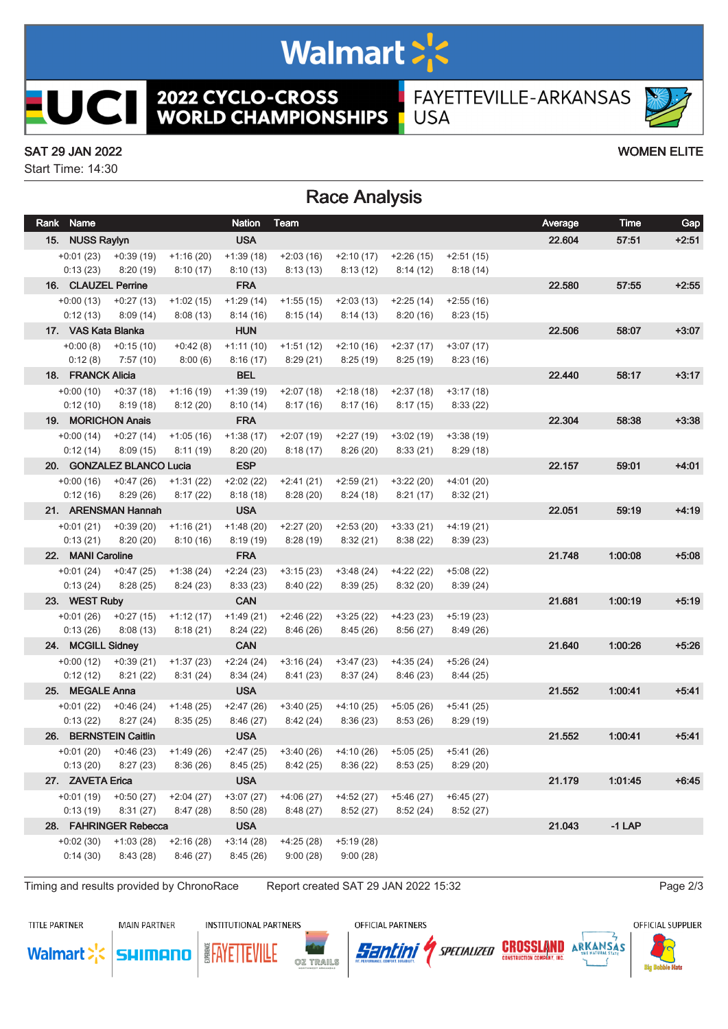# Walmart >'s

**2022 CYCLO-CROSS<br>WORLD CHAMPIONSHIPS** 

FAYETTEVILLE-ARKANSAS **USA** 

### SAT 29 JAN 2022 WOMEN ELITE

**UCII** 

Start Time: 14:30

# Race Analysis

|                       | Rank Name           |                           |             | <b>Nation</b> | Team                                    |             |             |             | Average | Time     | Gap     |
|-----------------------|---------------------|---------------------------|-------------|---------------|-----------------------------------------|-------------|-------------|-------------|---------|----------|---------|
|                       | 15. NUSS Raylyn     |                           |             | <b>USA</b>    |                                         |             |             |             | 22.604  | 57:51    | $+2:51$ |
|                       | $+0:01(23)$         | $+0.39(19)$               | $+1:16(20)$ | $+1:39(18)$   | $+2:03(16)$                             | $+2:10(17)$ | $+2:26(15)$ | $+2:51(15)$ |         |          |         |
|                       | 0:13(23)            | 8:20(19)                  | 8:10(17)    | 8:10(13)      | 8:13(13)                                | 8:13(12)    | 8:14(12)    | 8:18(14)    |         |          |         |
|                       | 16. CLAUZEL Perrine |                           |             | <b>FRA</b>    |                                         |             |             |             | 22.580  | 57:55    | $+2:55$ |
|                       | $+0:00(13)$         | $+0:27(13)$               | $+1:02(15)$ | $+1:29(14)$   | $+1:55(15)$                             | $+2:03(13)$ | $+2:25(14)$ | $+2:55(16)$ |         |          |         |
|                       | 0:12(13)            | 8:09(14)                  | 8:08(13)    | 8:14(16)      | 8:15(14)                                | 8:14(13)    | 8:20(16)    | 8:23(15)    |         |          |         |
|                       | 17. VAS Kata Blanka |                           |             | <b>HUN</b>    |                                         |             |             |             | 22.506  | 58:07    | $+3:07$ |
|                       | $+0:00(8)$          | $+0:15(10)$               | $+0:42(8)$  | $+1:11(10)$   | $+1:51(12)$                             | $+2:10(16)$ | $+2:37(17)$ | $+3:07(17)$ |         |          |         |
|                       | 0:12(8)             | 7:57 (10)                 | 8:00(6)     | 8:16(17)      | 8:29(21)                                | 8:25(19)    | 8:25(19)    | 8:23(16)    |         |          |         |
|                       | 18. FRANCK Alicia   |                           |             | <b>BEL</b>    |                                         |             |             |             | 22.440  | 58:17    | $+3:17$ |
|                       |                     | $+0.00(10)$ $+0.37(18)$   | $+1:16(19)$ | $+1:39(19)$   | $+2:07(18)$                             | $+2:18(18)$ | $+2:37(18)$ | $+3:17(18)$ |         |          |         |
|                       | 0:12(10)            | 8:19(18)                  | 8:12(20)    | 8:10(14)      | 8:17(16)                                | 8:17(16)    | 8:17(15)    | 8:33(22)    |         |          |         |
|                       | 19. MORICHON Anais  |                           |             | <b>FRA</b>    |                                         |             |             |             | 22.304  | 58:38    | $+3:38$ |
|                       | $+0:00(14)$         | $+0:27(14)$               | $+1:05(16)$ | $+1:38(17)$   | $+2:07(19)$                             | $+2:27(19)$ | $+3:02(19)$ | $+3:38(19)$ |         |          |         |
|                       | 0:12(14)            | 8:09(15)                  | 8:11(19)    | 8:20(20)      | 8:18(17)                                | 8:26(20)    | 8:33(21)    | 8:29(18)    |         |          |         |
|                       |                     | 20. GONZALEZ BLANCO Lucia |             | <b>ESP</b>    |                                         |             |             |             | 22.157  | 59:01    | $+4:01$ |
|                       | $+0.00(16)$         | $+0:47(26)$               | $+1:31(22)$ | $+2:02(22)$   | $+2:41(21)$                             | $+2:59(21)$ | $+3:22(20)$ | $+4:01(20)$ |         |          |         |
|                       | 0:12(16)            | 8:29(26)                  | 8:17(22)    | 8:18(18)      | 8:28(20)                                | 8:24(18)    | 8:21(17)    | 8:32(21)    |         |          |         |
|                       |                     | 21. ARENSMAN Hannah       |             | <b>USA</b>    |                                         |             |             |             | 22.051  | 59:19    | $+4:19$ |
|                       | $+0:01(21)$         | $+0:39(20)$               | $+1:16(21)$ | $+1:48(20)$   | $+2:27(20)$                             | $+2:53(20)$ | $+3:33(21)$ | $+4:19(21)$ |         |          |         |
|                       | 0:13(21)            | 8:20(20)                  | 8:10(16)    | 8:19(19)      | 8:28(19)                                | 8:32(21)    | 8:38(22)    | 8:39(23)    |         |          |         |
|                       | 22. MANI Caroline   |                           |             | <b>FRA</b>    |                                         |             |             |             | 21.748  | 1:00:08  | $+5:08$ |
|                       | $+0:01(24)$         | $+0.47(25)$               | $+1:38(24)$ | $+2:24(23)$   | $+3:15(23)$                             | $+3:48(24)$ | +4:22 (22)  | $+5:08(22)$ |         |          |         |
|                       | 0:13(24)            | 8:28(25)                  | 8:24(23)    | 8:33(23)      | 8:40(22)                                | 8:39(25)    | 8:32(20)    | 8:39(24)    |         |          |         |
|                       | 23. WEST Ruby       |                           |             | <b>CAN</b>    |                                         |             |             |             | 21.681  | 1:00:19  | $+5:19$ |
|                       | $+0:01(26)$         | $+0:27(15)$               | $+1:12(17)$ | $+1:49(21)$   | $+2:46(22)$                             | $+3:25(22)$ | $+4:23(23)$ | $+5:19(23)$ |         |          |         |
|                       | 0:13(26)            | 8:08(13)                  | 8:18(21)    | 8:24(22)      | 8:46(26)                                | 8:45(26)    | 8:56(27)    | 8:49(26)    |         |          |         |
|                       | 24. MCGILL Sidney   |                           |             | <b>CAN</b>    |                                         |             |             |             | 21.640  | 1:00:26  | $+5.26$ |
|                       | $+0:00(12)$         | $+0.39(21)$               | $+1:37(23)$ | $+2:24(24)$   | $+3:16(24)$                             | $+3:47(23)$ | $+4:35(24)$ | $+5:26(24)$ |         |          |         |
|                       | 0:12(12)            | 8:21(22)                  | 8:31(24)    | 8:34(24)      | 8:41(23)                                | 8:37(24)    | 8:46(23)    | 8:44(25)    |         |          |         |
|                       | 25. MEGALE Anna     |                           |             | <b>USA</b>    |                                         |             |             |             | 21.552  | 1:00:41  | $+5.41$ |
|                       | $+0:01(22)$         | $+0.46(24)$               | $+1:48(25)$ | $+2:47(26)$   | $+3:40(25)$                             | $+4:10(25)$ | +5:05 (26)  | $+5:41(25)$ |         |          |         |
|                       | 0:13(22)            | 8:27(24)                  | 8:35(25)    | 8:46(27)      | 8:42(24)                                | 8:36(23)    | 8:53(26)    | 8:29(19)    |         |          |         |
|                       |                     | 26. BERNSTEIN Caitlin     |             | <b>USA</b>    |                                         |             |             |             | 21.552  | 1:00:41  | $+5.41$ |
|                       |                     | $+0.01(20)$ $+0.46(23)$   | $+1:49(26)$ | $+2:47(25)$   | $+3:40(26)$                             | +4:10 (26)  | $+5:05(25)$ | $+5:41(26)$ |         |          |         |
|                       |                     | $0:13(20)$ $8:27(23)$     | 8:36(26)    | 8:45(25)      | 8:42 (25) 8:36 (22) 8:53 (25) 8:29 (20) |             |             |             |         |          |         |
|                       | 27. ZAVETA Erica    |                           | <b>USA</b>  |               |                                         |             |             | 21.179      | 1:01:45 | $+6:45$  |         |
|                       | $+0:01(19)$         | $+0.50(27)$               | $+2:04(27)$ | $+3:07(27)$   | $+4:06(27)$                             | $+4:52(27)$ | $+5:46(27)$ | $+6:45(27)$ |         |          |         |
|                       | 0:13(19)            | 8:31(27)                  | 8:47(28)    | 8:50(28)      | 8:48 (27)                               | 8:52(27)    | 8:52(24)    | 8:52(27)    |         |          |         |
| 28. FAHRINGER Rebecca |                     |                           |             | <b>USA</b>    |                                         |             |             |             | 21.043  | $-1$ LAP |         |
|                       | $+0:02(30)$         | $+1:03(28)$               | $+2:16(28)$ | $+3:14(28)$   | $+4:25(28)$                             | $+5:19(28)$ |             |             |         |          |         |
|                       | 0:14(30)            | 8:43(28)                  | 8:46(27)    | 8:45(26)      | 9:00(28)                                | 9:00(28)    |             |             |         |          |         |
|                       |                     |                           |             |               |                                         |             |             |             |         |          |         |

Timing and results provided by ChronoRace Report created SAT 29 JAN 2022 15:32 Page 2/3

**TITLE PARTNER** 

**Walmart** 

**MAIN PARTNER** 

SHIMANO

**INSTITUTIONAL PARTNERS** 

OZ TRAILS

**EAYETTEVILLE** 

OFFICIAL PARTNERS

Santini